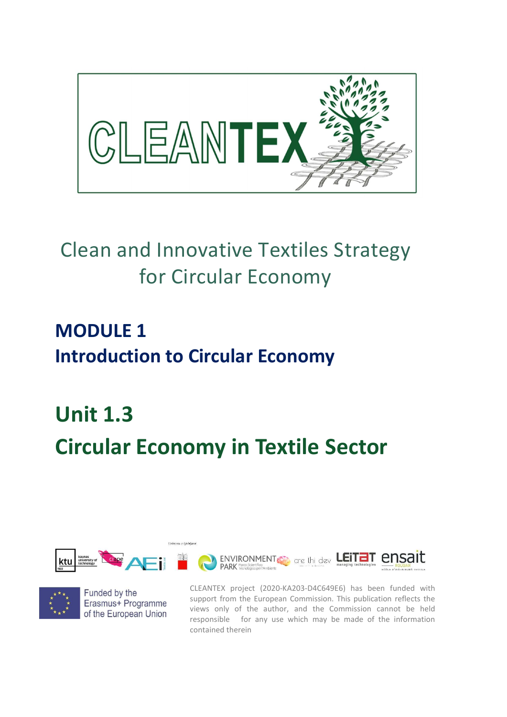

## Clean and Innovative Textiles Strategy for Circular Economy

## MODULE 1 Introduction to Circular Economy

# Unit 1.3 Circular Economy in Textile Sector





Funded by the Erasmus+ Programme of the European Union

CLEANTEX project (2020-KA203-D4C649E6) has been funded with support from the European Commission. This publication reflects the views only of the author, and the Commission cannot be held responsible for any use which may be made of the information contained therein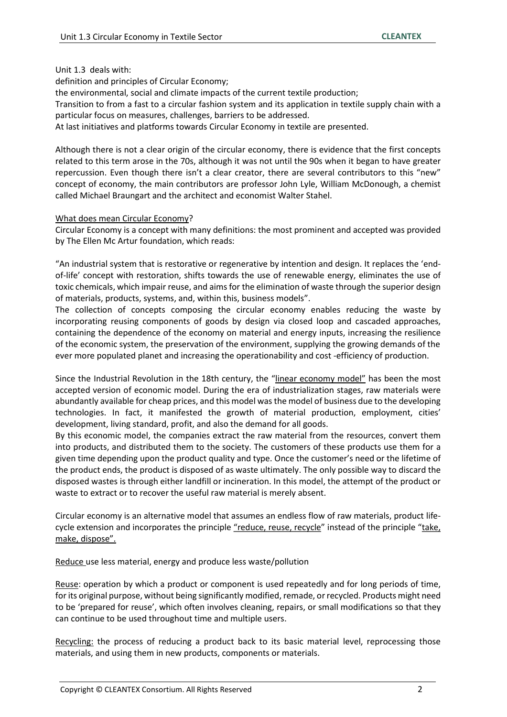#### Unit 1.3 deals with:

definition and principles of Circular Economy;

the environmental, social and climate impacts of the current textile production;

Transition to from a fast to a circular fashion system and its application in textile supply chain with a particular focus on measures, challenges, barriers to be addressed.

At last initiatives and platforms towards Circular Economy in textile are presented.

Although there is not a clear origin of the circular economy, there is evidence that the first concepts related to this term arose in the 70s, although it was not until the 90s when it began to have greater repercussion. Even though there isn't a clear creator, there are several contributors to this "new" concept of economy, the main contributors are professor John Lyle, William McDonough, a chemist called Michael Braungart and the architect and economist Walter Stahel.

#### What does mean Circular Economy?

Circular Economy is a concept with many definitions: the most prominent and accepted was provided by The Ellen Mc Artur foundation, which reads:

"An industrial system that is restorative or regenerative by intention and design. It replaces the 'endof-life' concept with restoration, shifts towards the use of renewable energy, eliminates the use of toxic chemicals, which impair reuse, and aims for the elimination of waste through the superior design of materials, products, systems, and, within this, business models".

The collection of concepts composing the circular economy enables reducing the waste by incorporating reusing components of goods by design via closed loop and cascaded approaches, containing the dependence of the economy on material and energy inputs, increasing the resilience of the economic system, the preservation of the environment, supplying the growing demands of the ever more populated planet and increasing the operationability and cost -efficiency of production.

Since the Industrial Revolution in the 18th century, the "linear economy model" has been the most accepted version of economic model. During the era of industrialization stages, raw materials were abundantly available for cheap prices, and this model was the model of business due to the developing technologies. In fact, it manifested the growth of material production, employment, cities' development, living standard, profit, and also the demand for all goods.

By this economic model, the companies extract the raw material from the resources, convert them into products, and distributed them to the society. The customers of these products use them for a given time depending upon the product quality and type. Once the customer's need or the lifetime of the product ends, the product is disposed of as waste ultimately. The only possible way to discard the disposed wastes is through either landfill or incineration. In this model, the attempt of the product or waste to extract or to recover the useful raw material is merely absent.

Circular economy is an alternative model that assumes an endless flow of raw materials, product lifecycle extension and incorporates the principle "reduce, reuse, recycle" instead of the principle "take, make, dispose".

Reduce use less material, energy and produce less waste/pollution

Reuse: operation by which a product or component is used repeatedly and for long periods of time, for its original purpose, without being significantly modified, remade, or recycled. Products might need to be 'prepared for reuse', which often involves cleaning, repairs, or small modifications so that they can continue to be used throughout time and multiple users.

Recycling: the process of reducing a product back to its basic material level, reprocessing those materials, and using them in new products, components or materials.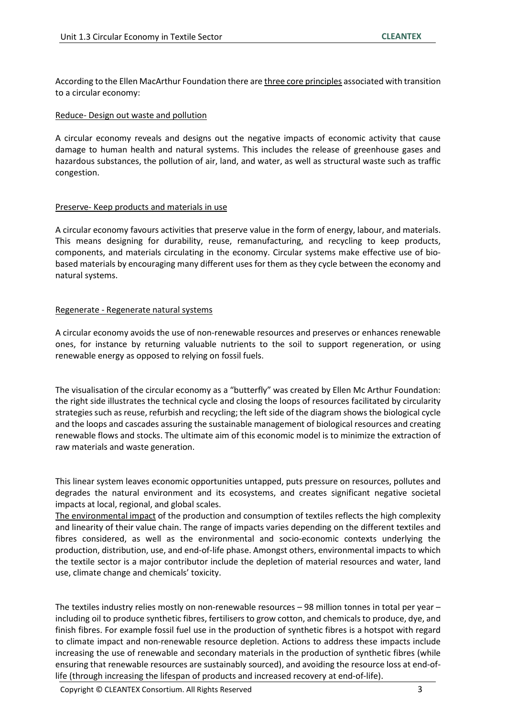According to the Ellen MacArthur Foundation there are three core principles associated with transition to a circular economy:

#### Reduce- Design out waste and pollution

A circular economy reveals and designs out the negative impacts of economic activity that cause damage to human health and natural systems. This includes the release of greenhouse gases and hazardous substances, the pollution of air, land, and water, as well as structural waste such as traffic congestion.

#### Preserve- Keep products and materials in use

A circular economy favours activities that preserve value in the form of energy, labour, and materials. This means designing for durability, reuse, remanufacturing, and recycling to keep products, components, and materials circulating in the economy. Circular systems make effective use of biobased materials by encouraging many different uses for them as they cycle between the economy and natural systems.

#### Regenerate - Regenerate natural systems

A circular economy avoids the use of non-renewable resources and preserves or enhances renewable ones, for instance by returning valuable nutrients to the soil to support regeneration, or using renewable energy as opposed to relying on fossil fuels.

The visualisation of the circular economy as a "butterfly" was created by Ellen Mc Arthur Foundation: the right side illustrates the technical cycle and closing the loops of resources facilitated by circularity strategies such as reuse, refurbish and recycling; the left side of the diagram shows the biological cycle and the loops and cascades assuring the sustainable management of biological resources and creating renewable flows and stocks. The ultimate aim of this economic model is to minimize the extraction of raw materials and waste generation.

This linear system leaves economic opportunities untapped, puts pressure on resources, pollutes and degrades the natural environment and its ecosystems, and creates significant negative societal impacts at local, regional, and global scales.

The environmental impact of the production and consumption of textiles reflects the high complexity and linearity of their value chain. The range of impacts varies depending on the different textiles and fibres considered, as well as the environmental and socio-economic contexts underlying the production, distribution, use, and end-of-life phase. Amongst others, environmental impacts to which the textile sector is a major contributor include the depletion of material resources and water, land use, climate change and chemicals' toxicity.

The textiles industry relies mostly on non-renewable resources – 98 million tonnes in total per year – including oil to produce synthetic fibres, fertilisers to grow cotton, and chemicals to produce, dye, and finish fibres. For example fossil fuel use in the production of synthetic fibres is a hotspot with regard to climate impact and non-renewable resource depletion. Actions to address these impacts include increasing the use of renewable and secondary materials in the production of synthetic fibres (while ensuring that renewable resources are sustainably sourced), and avoiding the resource loss at end-oflife (through increasing the lifespan of products and increased recovery at end-of-life).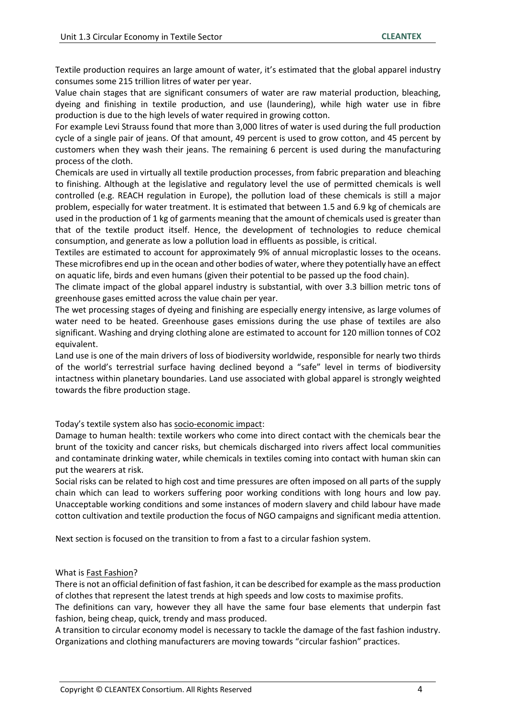Textile production requires an large amount of water, it's estimated that the global apparel industry consumes some 215 trillion litres of water per year.

Value chain stages that are significant consumers of water are raw material production, bleaching, dyeing and finishing in textile production, and use (laundering), while high water use in fibre production is due to the high levels of water required in growing cotton.

For example Levi Strauss found that more than 3,000 litres of water is used during the full production cycle of a single pair of jeans. Of that amount, 49 percent is used to grow cotton, and 45 percent by customers when they wash their jeans. The remaining 6 percent is used during the manufacturing process of the cloth.

Chemicals are used in virtually all textile production processes, from fabric preparation and bleaching to finishing. Although at the legislative and regulatory level the use of permitted chemicals is well controlled (e.g. REACH regulation in Europe), the pollution load of these chemicals is still a major problem, especially for water treatment. It is estimated that between 1.5 and 6.9 kg of chemicals are used in the production of 1 kg of garments meaning that the amount of chemicals used is greater than that of the textile product itself. Hence, the development of technologies to reduce chemical consumption, and generate as low a pollution load in effluents as possible, is critical.

Textiles are estimated to account for approximately 9% of annual microplastic losses to the oceans. These microfibres end up in the ocean and other bodies of water, where they potentially have an effect on aquatic life, birds and even humans (given their potential to be passed up the food chain).

The climate impact of the global apparel industry is substantial, with over 3.3 billion metric tons of greenhouse gases emitted across the value chain per year.

The wet processing stages of dyeing and finishing are especially energy intensive, as large volumes of water need to be heated. Greenhouse gases emissions during the use phase of textiles are also significant. Washing and drying clothing alone are estimated to account for 120 million tonnes of CO2 equivalent.

Land use is one of the main drivers of loss of biodiversity worldwide, responsible for nearly two thirds of the world's terrestrial surface having declined beyond a "safe" level in terms of biodiversity intactness within planetary boundaries. Land use associated with global apparel is strongly weighted towards the fibre production stage.

Today's textile system also has socio-economic impact:

Damage to human health: textile workers who come into direct contact with the chemicals bear the brunt of the toxicity and cancer risks, but chemicals discharged into rivers affect local communities and contaminate drinking water, while chemicals in textiles coming into contact with human skin can put the wearers at risk.

Social risks can be related to high cost and time pressures are often imposed on all parts of the supply chain which can lead to workers suffering poor working conditions with long hours and low pay. Unacceptable working conditions and some instances of modern slavery and child labour have made cotton cultivation and textile production the focus of NGO campaigns and significant media attention.

Next section is focused on the transition to from a fast to a circular fashion system.

#### What is Fast Fashion?

There is not an official definition of fast fashion, it can be described for example as the mass production of clothes that represent the latest trends at high speeds and low costs to maximise profits.

The definitions can vary, however they all have the same four base elements that underpin fast fashion, being cheap, quick, trendy and mass produced.

A transition to circular economy model is necessary to tackle the damage of the fast fashion industry. Organizations and clothing manufacturers are moving towards "circular fashion" practices.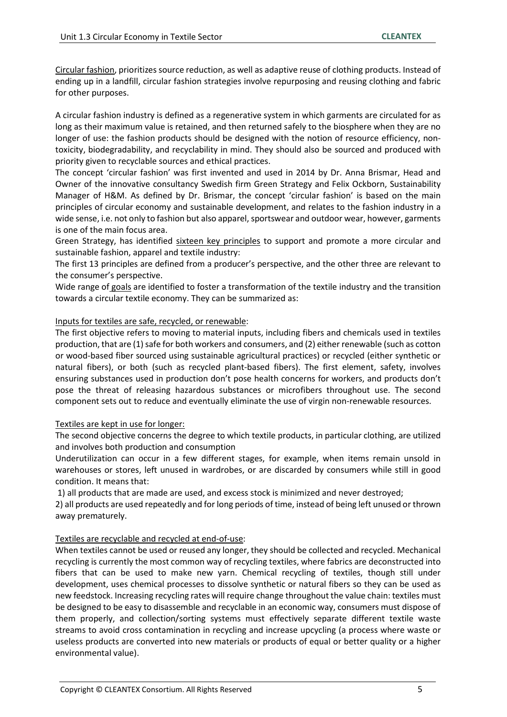Circular fashion, prioritizes source reduction, as well as adaptive reuse of clothing products. Instead of ending up in a landfill, circular fashion strategies involve repurposing and reusing clothing and fabric for other purposes.

A circular fashion industry is defined as a regenerative system in which garments are circulated for as long as their maximum value is retained, and then returned safely to the biosphere when they are no longer of use: the fashion products should be designed with the notion of resource efficiency, nontoxicity, biodegradability, and recyclability in mind. They should also be sourced and produced with priority given to recyclable sources and ethical practices.

The concept 'circular fashion' was first invented and used in 2014 by Dr. Anna Brismar, Head and Owner of the innovative consultancy Swedish firm Green Strategy and Felix Ockborn, Sustainability Manager of H&M. As defined by Dr. Brismar, the concept 'circular fashion' is based on the main principles of circular economy and sustainable development, and relates to the fashion industry in a wide sense, i.e. not only to fashion but also apparel, sportswear and outdoor wear, however, garments is one of the main focus area.

Green Strategy, has identified sixteen key principles to support and promote a more circular and sustainable fashion, apparel and textile industry:

The first 13 principles are defined from a producer's perspective, and the other three are relevant to the consumer's perspective.

Wide range of goals are identified to foster a transformation of the textile industry and the transition towards a circular textile economy. They can be summarized as:

#### Inputs for textiles are safe, recycled, or renewable:

The first objective refers to moving to material inputs, including fibers and chemicals used in textiles production, that are (1) safe for both workers and consumers, and (2) either renewable (such as cotton or wood-based fiber sourced using sustainable agricultural practices) or recycled (either synthetic or natural fibers), or both (such as recycled plant-based fibers). The first element, safety, involves ensuring substances used in production don't pose health concerns for workers, and products don't pose the threat of releasing hazardous substances or microfibers throughout use. The second component sets out to reduce and eventually eliminate the use of virgin non-renewable resources.

#### Textiles are kept in use for longer:

The second objective concerns the degree to which textile products, in particular clothing, are utilized and involves both production and consumption

Underutilization can occur in a few different stages, for example, when items remain unsold in warehouses or stores, left unused in wardrobes, or are discarded by consumers while still in good condition. It means that:

1) all products that are made are used, and excess stock is minimized and never destroyed;

2) all products are used repeatedly and for long periods of time, instead of being left unused or thrown away prematurely.

#### Textiles are recyclable and recycled at end-of-use:

When textiles cannot be used or reused any longer, they should be collected and recycled. Mechanical recycling is currently the most common way of recycling textiles, where fabrics are deconstructed into fibers that can be used to make new yarn. Chemical recycling of textiles, though still under development, uses chemical processes to dissolve synthetic or natural fibers so they can be used as new feedstock. Increasing recycling rates will require change throughout the value chain: textiles must be designed to be easy to disassemble and recyclable in an economic way, consumers must dispose of them properly, and collection/sorting systems must effectively separate different textile waste streams to avoid cross contamination in recycling and increase upcycling (a process where waste or useless products are converted into new materials or products of equal or better quality or a higher environmental value).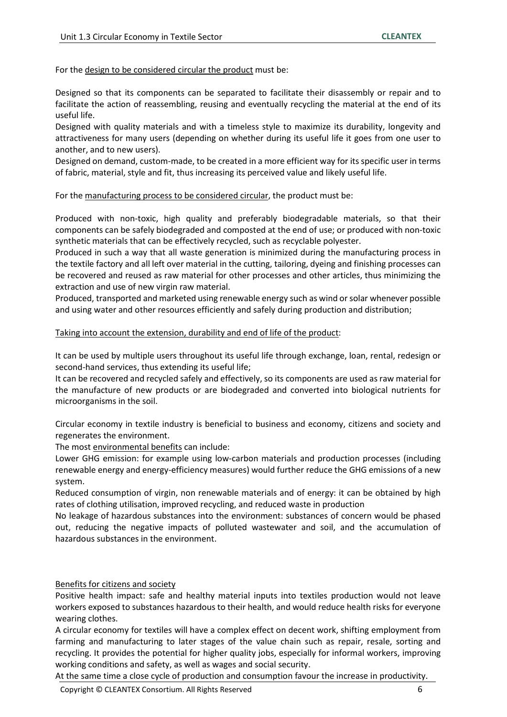For the design to be considered circular the product must be:

Designed so that its components can be separated to facilitate their disassembly or repair and to facilitate the action of reassembling, reusing and eventually recycling the material at the end of its useful life.

Designed with quality materials and with a timeless style to maximize its durability, longevity and attractiveness for many users (depending on whether during its useful life it goes from one user to another, and to new users).

Designed on demand, custom-made, to be created in a more efficient way for its specific user in terms of fabric, material, style and fit, thus increasing its perceived value and likely useful life.

For the manufacturing process to be considered circular, the product must be:

Produced with non-toxic, high quality and preferably biodegradable materials, so that their components can be safely biodegraded and composted at the end of use; or produced with non-toxic synthetic materials that can be effectively recycled, such as recyclable polyester.

Produced in such a way that all waste generation is minimized during the manufacturing process in the textile factory and all left over material in the cutting, tailoring, dyeing and finishing processes can be recovered and reused as raw material for other processes and other articles, thus minimizing the extraction and use of new virgin raw material.

Produced, transported and marketed using renewable energy such as wind or solar whenever possible and using water and other resources efficiently and safely during production and distribution;

#### Taking into account the extension, durability and end of life of the product:

It can be used by multiple users throughout its useful life through exchange, loan, rental, redesign or second-hand services, thus extending its useful life;

It can be recovered and recycled safely and effectively, so its components are used as raw material for the manufacture of new products or are biodegraded and converted into biological nutrients for microorganisms in the soil.

Circular economy in textile industry is beneficial to business and economy, citizens and society and regenerates the environment.

The most environmental benefits can include:

Lower GHG emission: for example using low-carbon materials and production processes (including renewable energy and energy-efficiency measures) would further reduce the GHG emissions of a new system.

Reduced consumption of virgin, non renewable materials and of energy: it can be obtained by high rates of clothing utilisation, improved recycling, and reduced waste in production

No leakage of hazardous substances into the environment: substances of concern would be phased out, reducing the negative impacts of polluted wastewater and soil, and the accumulation of hazardous substances in the environment.

#### Benefits for citizens and society

Positive health impact: safe and healthy material inputs into textiles production would not leave workers exposed to substances hazardous to their health, and would reduce health risks for everyone wearing clothes.

A circular economy for textiles will have a complex effect on decent work, shifting employment from farming and manufacturing to later stages of the value chain such as repair, resale, sorting and recycling. It provides the potential for higher quality jobs, especially for informal workers, improving working conditions and safety, as well as wages and social security.

At the same time a close cycle of production and consumption favour the increase in productivity.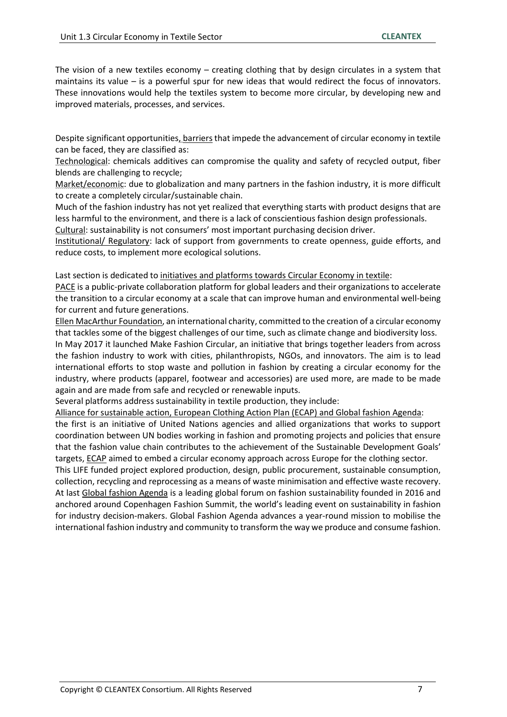The vision of a new textiles economy – creating clothing that by design circulates in a system that maintains its value – is a powerful spur for new ideas that would redirect the focus of innovators. These innovations would help the textiles system to become more circular, by developing new and improved materials, processes, and services.

Despite significant opportunities, barriers that impede the advancement of circular economy in textile can be faced, they are classified as:

Technological: chemicals additives can compromise the quality and safety of recycled output, fiber blends are challenging to recycle;

Market/economic: due to globalization and many partners in the fashion industry, it is more difficult to create a completely circular/sustainable chain.

Much of the fashion industry has not yet realized that everything starts with product designs that are less harmful to the environment, and there is a lack of conscientious fashion design professionals.

Cultural: sustainability is not consumers' most important purchasing decision driver. Institutional/ Regulatory: lack of support from governments to create openness, guide efforts, and reduce costs, to implement more ecological solutions.

Last section is dedicated to initiatives and platforms towards Circular Economy in textile:

PACE is a public-private collaboration platform for global leaders and their organizations to accelerate the transition to a circular economy at a scale that can improve human and environmental well-being for current and future generations.

Ellen MacArthur Foundation, an international charity, committed to the creation of a circular economy that tackles some of the biggest challenges of our time, such as climate change and biodiversity loss.

In May 2017 it launched Make Fashion Circular, an initiative that brings together leaders from across the fashion industry to work with cities, philanthropists, NGOs, and innovators. The aim is to lead international efforts to stop waste and pollution in fashion by creating a circular economy for the industry, where products (apparel, footwear and accessories) are used more, are made to be made again and are made from safe and recycled or renewable inputs.

Several platforms address sustainability in textile production, they include:

Alliance for sustainable action, European Clothing Action Plan (ECAP) and Global fashion Agenda:

the first is an initiative of United Nations agencies and allied organizations that works to support coordination between UN bodies working in fashion and promoting projects and policies that ensure that the fashion value chain contributes to the achievement of the Sustainable Development Goals' targets, ECAP aimed to embed a circular economy approach across Europe for the clothing sector.

This LIFE funded project explored production, design, public procurement, sustainable consumption, collection, recycling and reprocessing as a means of waste minimisation and effective waste recovery. At last Global fashion Agenda is a leading global forum on fashion sustainability founded in 2016 and anchored around Copenhagen Fashion Summit, the world's leading event on sustainability in fashion for industry decision-makers. Global Fashion Agenda advances a year-round mission to mobilise the international fashion industry and community to transform the way we produce and consume fashion.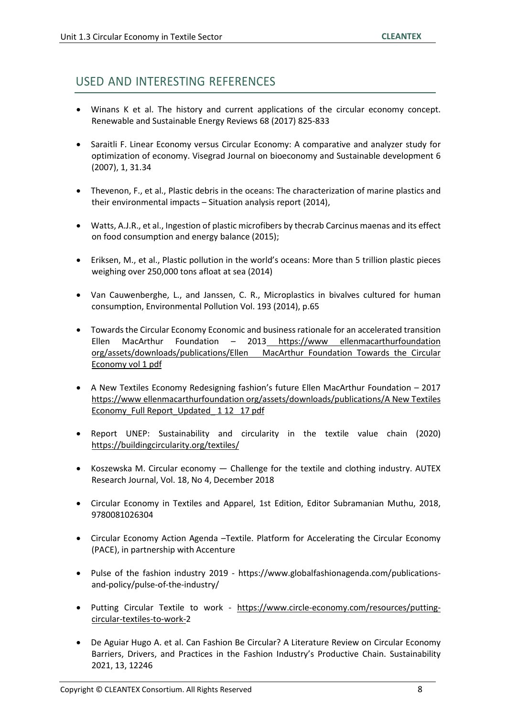### USED AND INTERESTING REFERENCES

- Winans K et al. The history and current applications of the circular economy concept. Renewable and Sustainable Energy Reviews 68 (2017) 825-833
- Saraitli F. Linear Economy versus Circular Economy: A comparative and analyzer study for optimization of economy. Visegrad Journal on bioeconomy and Sustainable development 6 (2007), 1, 31.34
- Thevenon, F., et al., Plastic debris in the oceans: The characterization of marine plastics and their environmental impacts – Situation analysis report (2014),
- Watts, A.J.R., et al., Ingestion of plastic microfibers by thecrab Carcinus maenas and its effect on food consumption and energy balance (2015);
- Eriksen, M., et al., Plastic pollution in the world's oceans: More than 5 trillion plastic pieces weighing over 250,000 tons afloat at sea (2014)
- Van Cauwenberghe, L., and Janssen, C. R., Microplastics in bivalves cultured for human consumption, Environmental Pollution Vol. 193 (2014), p.65
- Towards the Circular Economy Economic and business rationale for an accelerated transition Ellen MacArthur Foundation – 2013 https://www ellenmacarthurfoundation org/assets/downloads/publications/Ellen MacArthur Foundation Towards the Circular Economy vol 1 pdf
- A New Textiles Economy Redesigning fashion's future Ellen MacArthur Foundation 2017 https://www ellenmacarthurfoundation org/assets/downloads/publications/A New Textiles Economy\_Full Report\_Updated\_ 1 12 17 pdf
- Report UNEP: Sustainability and circularity in the textile value chain (2020) https://buildingcircularity.org/textiles/
- Koszewska M. Circular economy Challenge for the textile and clothing industry. AUTEX Research Journal, Vol. 18, No 4, December 2018
- Circular Economy in Textiles and Apparel, 1st Edition, Editor Subramanian Muthu, 2018, 9780081026304
- Circular Economy Action Agenda –Textile. Platform for Accelerating the Circular Economy (PACE), in partnership with Accenture
- Pulse of the fashion industry 2019 https://www.globalfashionagenda.com/publicationsand-policy/pulse-of-the-industry/
- Putting Circular Textile to work https://www.circle-economy.com/resources/puttingcircular-textiles-to-work-2
- De Aguiar Hugo A. et al. Can Fashion Be Circular? A Literature Review on Circular Economy Barriers, Drivers, and Practices in the Fashion Industry's Productive Chain. Sustainability 2021, 13, 12246